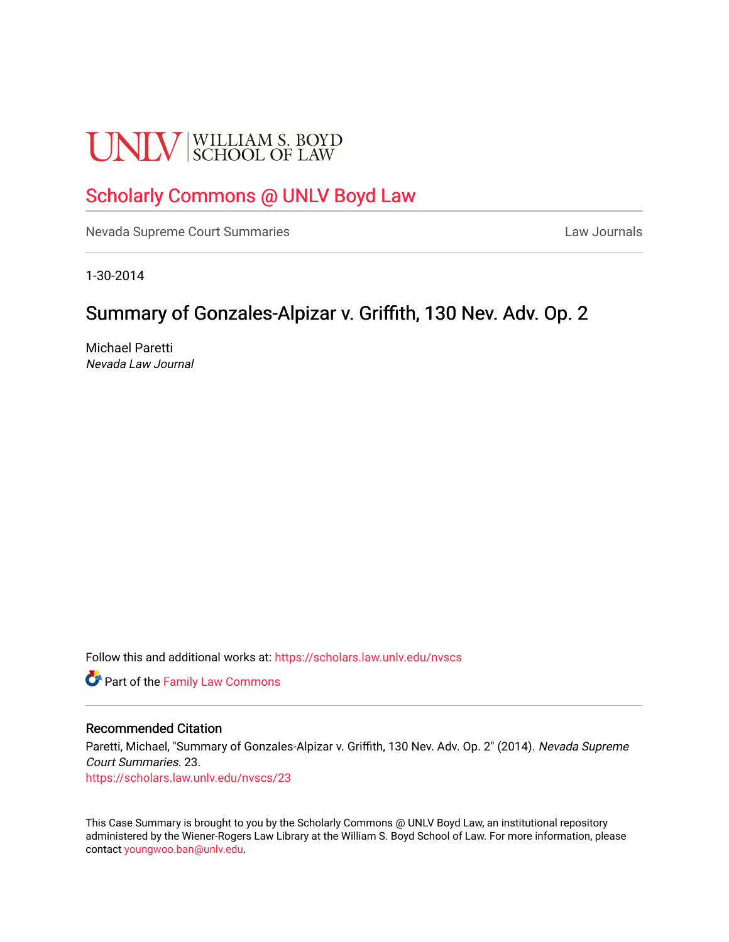# **UNLV** SCHOOL OF LAW

# [Scholarly Commons @ UNLV Boyd Law](https://scholars.law.unlv.edu/)

[Nevada Supreme Court Summaries](https://scholars.law.unlv.edu/nvscs) **Law Journals** Law Journals

1-30-2014

# Summary of Gonzales-Alpizar v. Griffith, 130 Nev. Adv. Op. 2

Michael Paretti Nevada Law Journal

Follow this and additional works at: [https://scholars.law.unlv.edu/nvscs](https://scholars.law.unlv.edu/nvscs?utm_source=scholars.law.unlv.edu%2Fnvscs%2F23&utm_medium=PDF&utm_campaign=PDFCoverPages)

**Part of the Family Law Commons** 

#### Recommended Citation

Paretti, Michael, "Summary of Gonzales-Alpizar v. Griffith, 130 Nev. Adv. Op. 2" (2014). Nevada Supreme Court Summaries. 23. [https://scholars.law.unlv.edu/nvscs/23](https://scholars.law.unlv.edu/nvscs/23?utm_source=scholars.law.unlv.edu%2Fnvscs%2F23&utm_medium=PDF&utm_campaign=PDFCoverPages) 

This Case Summary is brought to you by the Scholarly Commons @ UNLV Boyd Law, an institutional repository administered by the Wiener-Rogers Law Library at the William S. Boyd School of Law. For more information, please contact [youngwoo.ban@unlv.edu](mailto:youngwoo.ban@unlv.edu).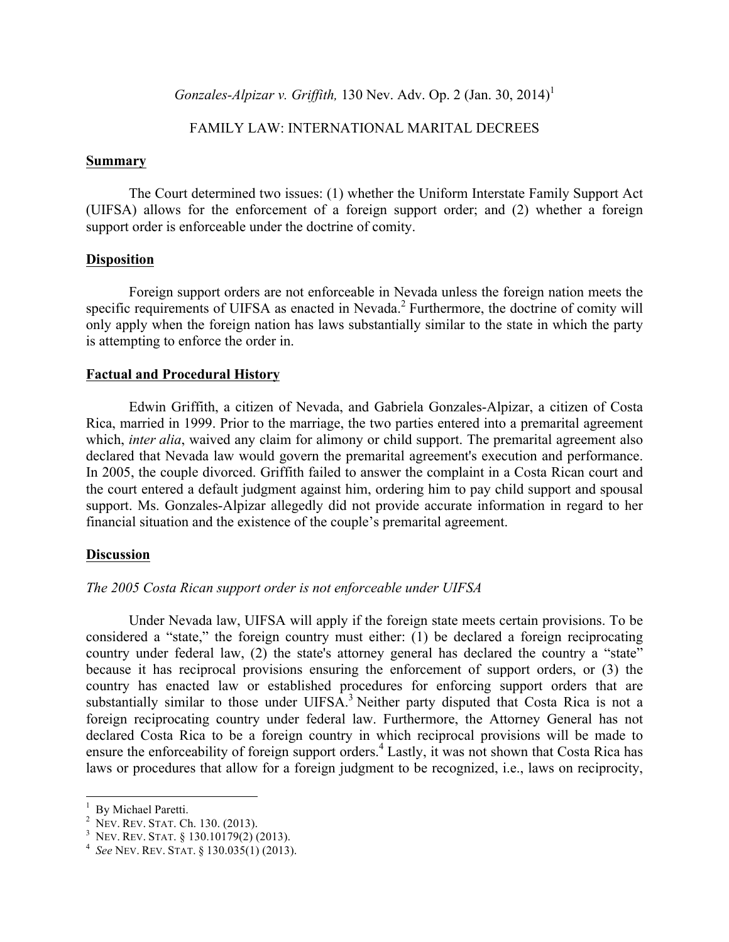*Gonzales-Alpizar v. Griffith,* 130 Nev. Adv. Op. 2 (Jan. 30, 2014) 1

### FAMILY LAW: INTERNATIONAL MARITAL DECREES

#### **Summary**

The Court determined two issues: (1) whether the Uniform Interstate Family Support Act (UIFSA) allows for the enforcement of a foreign support order; and (2) whether a foreign support order is enforceable under the doctrine of comity.

#### **Disposition**

Foreign support orders are not enforceable in Nevada unless the foreign nation meets the specific requirements of UIFSA as enacted in Nevada.<sup>2</sup> Furthermore, the doctrine of comity will only apply when the foreign nation has laws substantially similar to the state in which the party is attempting to enforce the order in.

#### **Factual and Procedural History**

Edwin Griffith, a citizen of Nevada, and Gabriela Gonzales-Alpizar, a citizen of Costa Rica, married in 1999. Prior to the marriage, the two parties entered into a premarital agreement which, *inter alia*, waived any claim for alimony or child support. The premarital agreement also declared that Nevada law would govern the premarital agreement's execution and performance. In 2005, the couple divorced. Griffith failed to answer the complaint in a Costa Rican court and the court entered a default judgment against him, ordering him to pay child support and spousal support. Ms. Gonzales-Alpizar allegedly did not provide accurate information in regard to her financial situation and the existence of the couple's premarital agreement.

#### **Discussion**

# *The 2005 Costa Rican support order is not enforceable under UIFSA*

Under Nevada law, UIFSA will apply if the foreign state meets certain provisions. To be considered a "state," the foreign country must either: (1) be declared a foreign reciprocating country under federal law, (2) the state's attorney general has declared the country a "state" because it has reciprocal provisions ensuring the enforcement of support orders, or (3) the country has enacted law or established procedures for enforcing support orders that are substantially similar to those under UIFSA.<sup>3</sup> Neither party disputed that Costa Rica is not a foreign reciprocating country under federal law. Furthermore, the Attorney General has not declared Costa Rica to be a foreign country in which reciprocal provisions will be made to ensure the enforceability of foreign support orders.<sup>4</sup> Lastly, it was not shown that Costa Rica has laws or procedures that allow for a foreign judgment to be recognized, i.e., laws on reciprocity,

<sup>&</sup>lt;sup>1</sup> By Michael Paretti.

<sup>&</sup>lt;sup>2</sup> NEV. REV. STAT. Ch. 130. (2013).<br><sup>3</sup> NEV. REV. STAT. § 130.10179(2) (2013).<br><sup>4</sup> *See* NEV. REV. STAT. § 130.035(1) (2013).